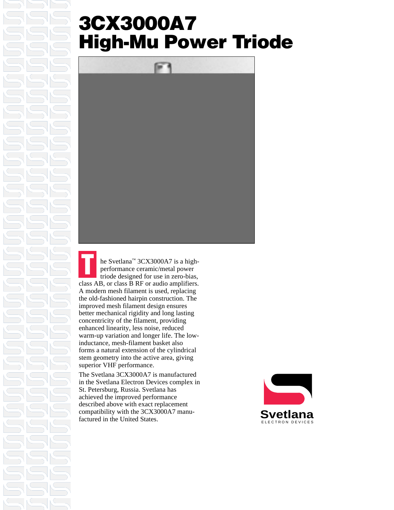### **3CX3000A7 High-Mu Power Triode**



he Svetlana™ 3CX3000A7 is a highperformance ceramic/metal power triode designed for use in zero-bias, class AB, or class B RF or audio amplifiers. A modern mesh filament is used, replacing the old-fashioned hairpin construction. The improved mesh filament design ensures better mechanical rigidity and long lasting concentricity of the filament, providing enhanced linearity, less noise, reduced warm-up variation and longer life. The lowinductance, mesh-filament basket also forms a natural extension of the cylindrical stem geometry into the active area, giving superior VHF performance. **T**

The Svetlana 3CX3000A7 is manufactured in the Svetlana Electron Devices complex in St. Petersburg, Russia. Svetlana has achieved the improved performance described above with exact replacement compatibility with the 3CX3000A7 manufactured in the United States.

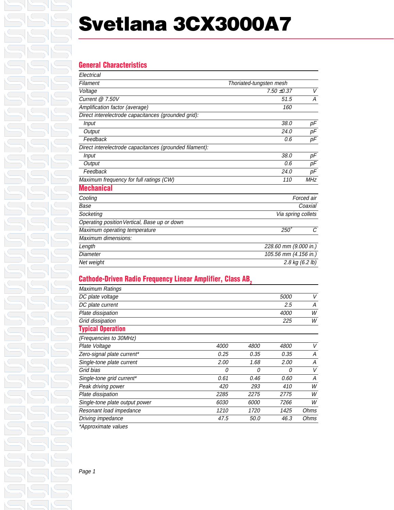## **Svetlana 3CX3000A7**

#### **General Characteristics**  $E$ lectrical

| Electrical                                              |                         |                       |  |
|---------------------------------------------------------|-------------------------|-----------------------|--|
| Filament                                                | Thoriated-tungsten mesh |                       |  |
| Voltage                                                 | $7.50 \pm 0.37$         | V                     |  |
| Current $@$ 7.50V                                       | 51.5                    | А                     |  |
| Amplification factor (average)                          | 160                     |                       |  |
| Direct interelectrode capacitances (grounded grid):     |                         |                       |  |
| Input                                                   | 38.0                    | pF                    |  |
| Output                                                  | 24.0                    | рF                    |  |
| Feedback                                                | 0.6                     | pF                    |  |
| Direct interelectrode capacitances (grounded filament): |                         |                       |  |
| <b>Input</b>                                            | 38.0                    | рF                    |  |
| Output                                                  | 0.6                     | pF                    |  |
| Feedback                                                | 24.0                    | рF                    |  |
| Maximum frequency for full ratings (CW)                 | 110                     | <b>MHz</b>            |  |
| <b>Mechanical</b>                                       |                         |                       |  |
| Cooling                                                 |                         | Forced air            |  |
| Base                                                    |                         | Coaxial               |  |
| Socketing                                               | Via spring collets      |                       |  |
| Operating position Vertical, Base up or down            |                         |                       |  |
| Maximum operating temperature                           | $250^\circ$             | C                     |  |
| Maximum dimensions:                                     |                         |                       |  |
| Length                                                  | 228.60 mm (9.000 in.)   |                       |  |
| Diameter                                                |                         | 105.56 mm (4.156 in.) |  |
| Net weight                                              | 2.8 kg (6.2 lb)         |                       |  |

#### **Cathode-Driven Radio Frequency Linear Amplifier, Class AB,**

| Maximum Ratings                |      |             |             |      |
|--------------------------------|------|-------------|-------------|------|
| DC plate voltage               |      |             | <i>5000</i> | V    |
| DC plate current               |      |             | 2.5         | А    |
| Plate dissipation              |      |             | 4000        | W    |
| Grid dissipation               |      |             | 225         | W    |
| <b>Typical Operation</b>       |      |             |             |      |
| (Frequencies to 30MHz)         |      |             |             |      |
| Plate Voltage                  | 4000 | <i>4800</i> | <i>4800</i> | V    |
| Zero-signal plate current*     | 0.25 | 0.35        | 0.35        | А    |
| Single-tone plate current      | 2.00 | 1.68        | 2.00        | А    |
| Grid bias                      | 0    | 0           | 0           | V    |
| Single-tone grid current*      | 0.61 | 0.46        | 0.60        | А    |
| Peak driving power             | 420  | 293         | 410         | W    |
| Plate dissipation              | 2285 | 2275        | 2775        | W    |
| Single-tone plate output power | 6030 | 6000        | 7266        | W    |
| Resonant load impedance        | 1210 | 1720        | 1425        | Ohms |
| Driving impedance              | 47.5 | 50.0        | 46.3        | Ohms |
|                                |      |             |             |      |

\*Approximate values

Page 1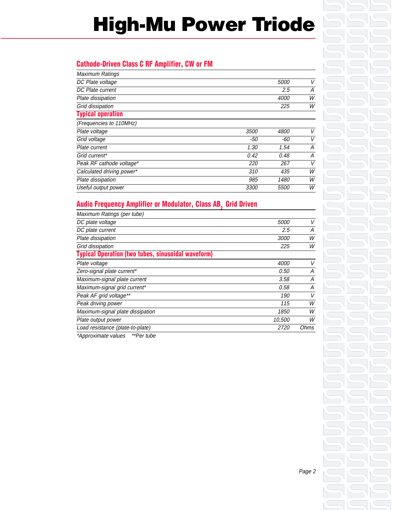# **High-Mu Power Triode**

#### **Cathode-Driven Class C RF Amplifier, CW or FM**

| <b>Maximum Ratings</b>    |       |             |   |
|---------------------------|-------|-------------|---|
| DC Plate voltage          |       | 5000        | V |
| DC Plate current          |       | 2.5         | A |
| Plate dissipation         |       | 4000        | W |
| Grid dissipation          |       | 225         | W |
| <b>Typical operation</b>  |       |             |   |
| (Frequencies to 110MHz)   |       |             |   |
| Plate voltage             | 3500  | <i>4800</i> | V |
| Grid voltage              | $-50$ | -60         | V |
| Plate current             | 1.30  | 1.54        | Α |
| Grid current*             | 0.42  | 0.48        | Α |
| Peak RF cathode voltage*  | 220   | 267         | V |
| Calculated driving power* | 310   | 435         | W |
| Plate dissipation         | 985   | 1480        | W |
| Useful output power       | 3300  | <i>5500</i> | W |
|                           |       |             |   |

#### **Audio Frequency Amplifier or Modulator, Class AB, Grid Driven**

| Maximum Ratings (per tube)                                |             |      |
|-----------------------------------------------------------|-------------|------|
| DC plate voltage                                          | <i>5000</i> | V    |
| DC plate current                                          | 2.5         | A    |
| Plate dissipation                                         | <i>3000</i> | W    |
| Grid dissipation                                          | 225         | W    |
| <b>Typical Operation (two tubes, sinusoidal waveform)</b> |             |      |
| Plate voltage                                             | <i>4000</i> | V    |
| Zero-signal plate current*                                | 0.50        | А    |
| Maximum-signal plate current                              | 3.58        | А    |
| Maximum-signal grid current*                              | 0.58        | А    |
| Peak AF grid voltage**                                    | 190         | V    |
| Peak driving power                                        | 115         | W    |
| Maximum-signal plate dissipation                          | 1850        | W    |
| Plate output power                                        | 10,500      | W    |
| Load resistance (plate-to-plate)                          |             | Ohms |
| *Approximate values<br>**Per tube                         |             |      |

Page 2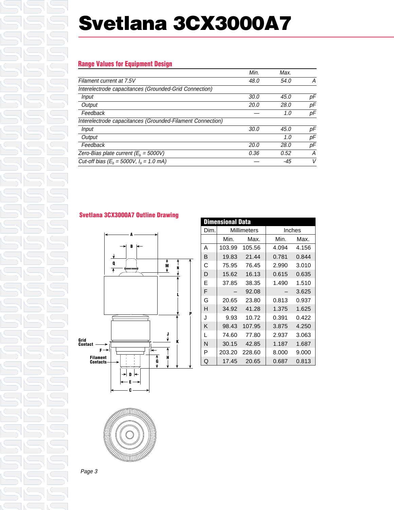## **Svetlana 3CX3000A7**

#### **Range Values for Equipment Design**

|                                                            | Min.        | Max.  |    |
|------------------------------------------------------------|-------------|-------|----|
| Filament current at 7.5V                                   | 48.0        | 54.0  | А  |
| Interelectrode capacitances (Grounded-Grid Connection)     |             |       |    |
| Input                                                      | 30.0        | 45.0  | рF |
| Output                                                     | <i>20.0</i> | 28.0  | рF |
| Feedback                                                   |             | 1.0   | рF |
| Interelectrode capacitances (Grounded-Filament Connection) |             |       |    |
| Input                                                      | 30.0        | 45.0  | рF |
| Output                                                     |             | 1.0   | рF |
| Feedback                                                   | 20.0        | 28.0  | рF |
| Zero-Bias plate current ( $E_h$ = 5000V)                   | 0.36        | 0.52  | А  |
| Cut-off bias ( $E_b = 5000V$ , $I_b = 1.0$ mA)             |             | $-45$ | V  |

#### **Svetlana 3CX3000A7 Outline Drawing**





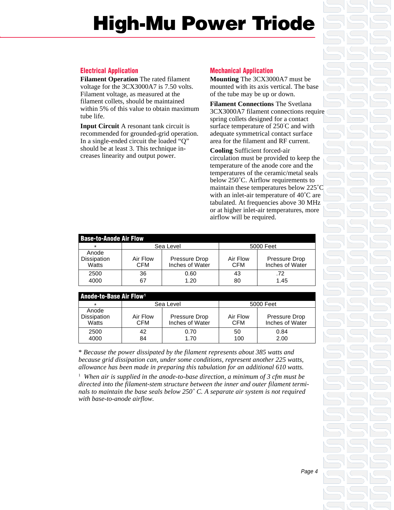# **High-Mu Power Triode**

#### **Electrical Application**

**Filament Operation** The rated filament voltage for the 3CX3000A7 is 7.50 volts. Filament voltage, as measured at the filament collets, should be maintained within 5% of this value to obtain maximum tube life.

**Input Circuit** A resonant tank circuit is recommended for grounded-grid operation. In a single-ended circuit the loaded "Q" should be at least 3. This technique increases linearity and output power.

#### **Mechanical Application**

**Mounting** The 3CX3000A7 must be mounted with its axis vertical. The base of the tube may be up or down.

**Filament Connections** The Svetlana 3CX3000A7 filament connections require spring collets designed for a contact surface temperature of 250˚ C and with adequate symmetrical contact surface area for the filament and RF current.

**Cooling** Sufficient forced-air circulation must be provided to keep the temperature of the anode core and the temperatures of the ceramic/metal seals below 250˚C. Airflow requirements to maintain these temperatures below 225˚C with an inlet-air temperature of 40˚C are tabulated. At frequencies above 30 MHz or at higher inlet-air temperatures, more airflow will be required.

| <b>Base-to-Anode Air Flow</b> |                 |                                  |                        |                                  |  |
|-------------------------------|-----------------|----------------------------------|------------------------|----------------------------------|--|
| $\star$                       | Sea Level       |                                  | 5000 Feet              |                                  |  |
| Anode<br>Dissipation<br>Watts | Air Flow<br>CFM | Pressure Drop<br>Inches of Water | Air Flow<br><b>CFM</b> | Pressure Drop<br>Inches of Water |  |
| 2500                          | 36              | 0.60                             | 43                     | .72                              |  |
| 4000                          | 67              | 1.20                             | 80                     | 1.45                             |  |

| <b>Anode-to-Base Air Flow<sup>1</sup></b> |                        |                                  |                 |                                  |
|-------------------------------------------|------------------------|----------------------------------|-----------------|----------------------------------|
| ÷                                         | Sea Level              |                                  |                 | 5000 Feet                        |
| Anode<br><b>Dissipation</b><br>Watts      | Air Flow<br><b>CFM</b> | Pressure Drop<br>Inches of Water | Air Flow<br>CFM | Pressure Drop<br>Inches of Water |
| 2500<br>4000                              | 42<br>84               | 0.70<br>1.70                     | 50<br>100       | 0.84<br>2.00                     |

\* *Because the power dissipated by the filament represents about 385 watts and because grid dissipation can, under some conditions, represent another 225 watts, allowance has been made in preparing this tabulation for an additional 610 watts.*

<sup>1</sup> When air is supplied in the anode-to-base direction, a minimum of 3 cfm must be *directed into the filament-stem structure between the inner and outer filament terminals to maintain the base seals below 250˚ C. A separate air system is not required with base-to-anode airflow.*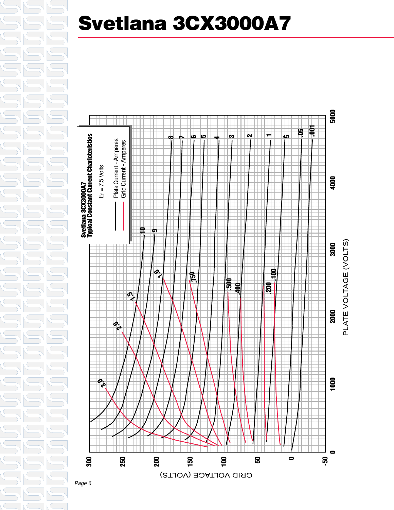### **Svetlana 3CX3000A7**